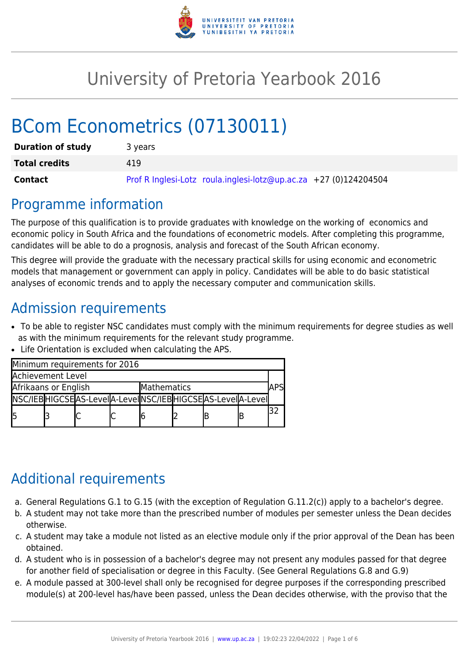

# University of Pretoria Yearbook 2016

# BCom Econometrics (07130011)

| <b>Duration of study</b> | 3 years                                                          |  |  |  |  |  |
|--------------------------|------------------------------------------------------------------|--|--|--|--|--|
| <b>Total credits</b>     | 419                                                              |  |  |  |  |  |
| <b>Contact</b>           | Prof R Inglesi-Lotz roula.inglesi-lotz@up.ac.za +27 (0)124204504 |  |  |  |  |  |

### Programme information

The purpose of this qualification is to provide graduates with knowledge on the working of economics and economic policy in South Africa and the foundations of econometric models. After completing this programme, candidates will be able to do a prognosis, analysis and forecast of the South African economy.

This degree will provide the graduate with the necessary practical skills for using economic and econometric models that management or government can apply in policy. Candidates will be able to do basic statistical analyses of economic trends and to apply the necessary computer and communication skills.

## Admission requirements

- To be able to register NSC candidates must comply with the minimum requirements for degree studies as well as with the minimum requirements for the relevant study programme.
- Life Orientation is excluded when calculating the APS.

| Minimum requirements for 2016       |  |                                                                 |  |  |  |  |  |  |  |  |
|-------------------------------------|--|-----------------------------------------------------------------|--|--|--|--|--|--|--|--|
| Achievement Level                   |  |                                                                 |  |  |  |  |  |  |  |  |
| Afrikaans or English<br>Mathematics |  |                                                                 |  |  |  |  |  |  |  |  |
|                                     |  | NSC/IEB HIGCSE AS-LeveI A-LeveI NSC/IEB HIGCSE AS-LeveI A-LeveI |  |  |  |  |  |  |  |  |
| l5                                  |  |                                                                 |  |  |  |  |  |  |  |  |

# Additional requirements

- a. General Regulations G.1 to G.15 (with the exception of Regulation G.11.2(c)) apply to a bachelor's degree.
- b. A student may not take more than the prescribed number of modules per semester unless the Dean decides otherwise.
- c. A student may take a module not listed as an elective module only if the prior approval of the Dean has been obtained.
- d. A student who is in possession of a bachelor's degree may not present any modules passed for that degree for another field of specialisation or degree in this Faculty. (See General Regulations G.8 and G.9)
- e. A module passed at 300-level shall only be recognised for degree purposes if the corresponding prescribed module(s) at 200-level has/have been passed, unless the Dean decides otherwise, with the proviso that the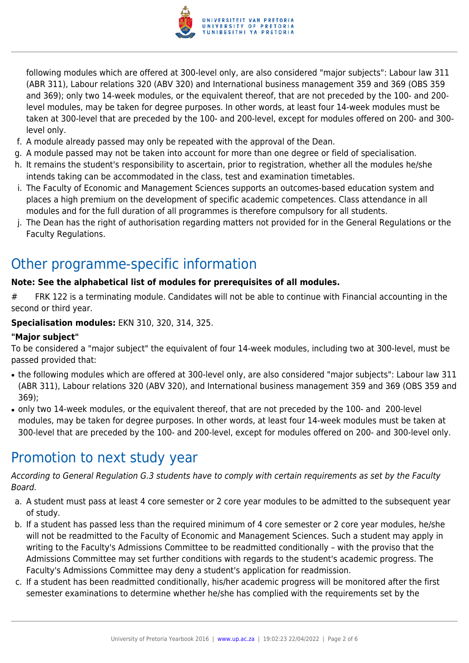

following modules which are offered at 300-level only, are also considered "major subjects": Labour law 311 (ABR 311), Labour relations 320 (ABV 320) and International business management 359 and 369 (OBS 359 and 369); only two 14-week modules, or the equivalent thereof, that are not preceded by the 100- and 200 level modules, may be taken for degree purposes. In other words, at least four 14-week modules must be taken at 300-level that are preceded by the 100- and 200-level, except for modules offered on 200- and 300 level only.

- f. A module already passed may only be repeated with the approval of the Dean.
- g. A module passed may not be taken into account for more than one degree or field of specialisation.
- h. It remains the student's responsibility to ascertain, prior to registration, whether all the modules he/she intends taking can be accommodated in the class, test and examination timetables.
- i. The Faculty of Economic and Management Sciences supports an outcomes-based education system and places a high premium on the development of specific academic competences. Class attendance in all modules and for the full duration of all programmes is therefore compulsory for all students.
- j. The Dean has the right of authorisation regarding matters not provided for in the General Regulations or the Faculty Regulations.

# Other programme-specific information

#### **Note: See the alphabetical list of modules for prerequisites of all modules.**

# FRK 122 is a terminating module. Candidates will not be able to continue with Financial accounting in the second or third year.

#### **Specialisation modules:** EKN 310, 320, 314, 325.

#### **"Major subject"**

To be considered a "major subject" the equivalent of four 14-week modules, including two at 300-level, must be passed provided that:

- the following modules which are offered at 300-level only, are also considered "major subjects": Labour law 311 (ABR 311), Labour relations 320 (ABV 320), and International business management 359 and 369 (OBS 359 and 369);
- only two 14-week modules, or the equivalent thereof, that are not preceded by the 100- and 200-level modules, may be taken for degree purposes. In other words, at least four 14-week modules must be taken at 300-level that are preceded by the 100- and 200-level, except for modules offered on 200- and 300-level only.

### Promotion to next study year

According to General Regulation G.3 students have to comply with certain requirements as set by the Faculty Board.

- a. A student must pass at least 4 core semester or 2 core year modules to be admitted to the subsequent year of study.
- b. If a student has passed less than the required minimum of 4 core semester or 2 core year modules, he/she will not be readmitted to the Faculty of Economic and Management Sciences. Such a student may apply in writing to the Faculty's Admissions Committee to be readmitted conditionally – with the proviso that the Admissions Committee may set further conditions with regards to the student's academic progress. The Faculty's Admissions Committee may deny a student's application for readmission.
- c. If a student has been readmitted conditionally, his/her academic progress will be monitored after the first semester examinations to determine whether he/she has complied with the requirements set by the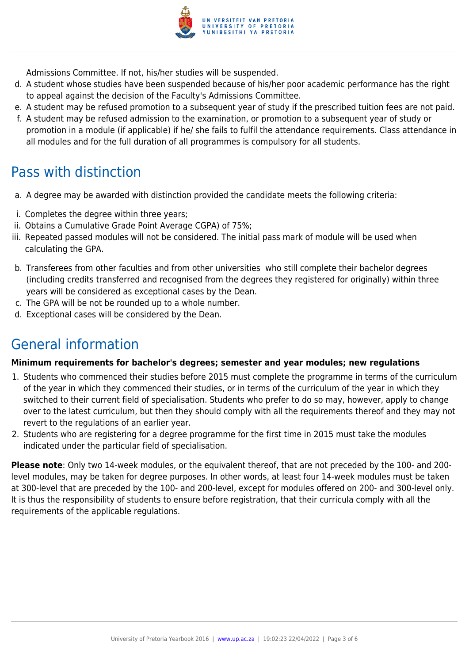

Admissions Committee. If not, his/her studies will be suspended.

- d. A student whose studies have been suspended because of his/her poor academic performance has the right to appeal against the decision of the Faculty's Admissions Committee.
- e. A student may be refused promotion to a subsequent year of study if the prescribed tuition fees are not paid.
- f. A student may be refused admission to the examination, or promotion to a subsequent year of study or promotion in a module (if applicable) if he/ she fails to fulfil the attendance requirements. Class attendance in all modules and for the full duration of all programmes is compulsory for all students.

### Pass with distinction

- a. A degree may be awarded with distinction provided the candidate meets the following criteria:
- i. Completes the degree within three years;
- ii. Obtains a Cumulative Grade Point Average CGPA) of 75%;
- iii. Repeated passed modules will not be considered. The initial pass mark of module will be used when calculating the GPA.
- b. Transferees from other faculties and from other universities who still complete their bachelor degrees (including credits transferred and recognised from the degrees they registered for originally) within three years will be considered as exceptional cases by the Dean.
- c. The GPA will be not be rounded up to a whole number.
- d. Exceptional cases will be considered by the Dean.

## General information

#### **Minimum requirements for bachelor's degrees; semester and year modules; new regulations**

- 1. Students who commenced their studies before 2015 must complete the programme in terms of the curriculum of the year in which they commenced their studies, or in terms of the curriculum of the year in which they switched to their current field of specialisation. Students who prefer to do so may, however, apply to change over to the latest curriculum, but then they should comply with all the requirements thereof and they may not revert to the regulations of an earlier year.
- 2. Students who are registering for a degree programme for the first time in 2015 must take the modules indicated under the particular field of specialisation.

**Please note**: Only two 14-week modules, or the equivalent thereof, that are not preceded by the 100- and 200 level modules, may be taken for degree purposes. In other words, at least four 14-week modules must be taken at 300-level that are preceded by the 100- and 200-level, except for modules offered on 200- and 300-level only. It is thus the responsibility of students to ensure before registration, that their curricula comply with all the requirements of the applicable regulations.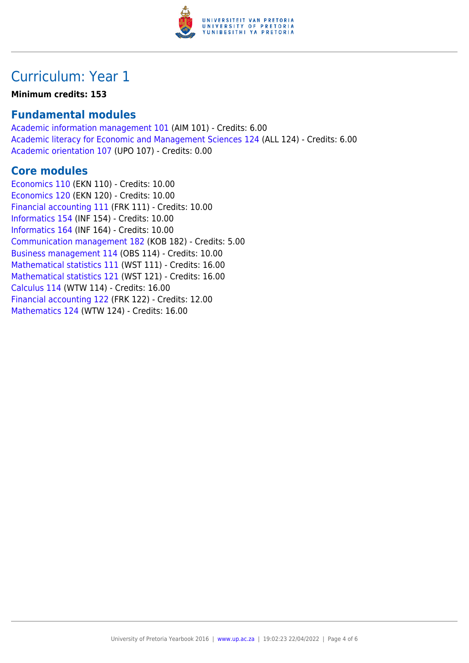

## Curriculum: Year 1

#### **Minimum credits: 153**

### **Fundamental modules**

[Academic information management 101](https://www.up.ac.za/yearbooks/2016/modules/view/AIM 101) (AIM 101) - Credits: 6.00 [Academic literacy for Economic and Management Sciences 124](https://www.up.ac.za/yearbooks/2016/modules/view/ALL 124) (ALL 124) - Credits: 6.00 [Academic orientation 107](https://www.up.ac.za/yearbooks/2016/modules/view/UPO 107) (UPO 107) - Credits: 0.00

### **Core modules**

[Economics 110](https://www.up.ac.za/yearbooks/2016/modules/view/EKN 110) (EKN 110) - Credits: 10.00 [Economics 120](https://www.up.ac.za/yearbooks/2016/modules/view/EKN 120) (EKN 120) - Credits: 10.00 [Financial accounting 111](https://www.up.ac.za/yearbooks/2016/modules/view/FRK 111) (FRK 111) - Credits: 10.00 [Informatics 154](https://www.up.ac.za/yearbooks/2016/modules/view/INF 154) (INF 154) - Credits: 10.00 [Informatics 164](https://www.up.ac.za/yearbooks/2016/modules/view/INF 164) (INF 164) - Credits: 10.00 [Communication management 182](https://www.up.ac.za/yearbooks/2016/modules/view/KOB 182) (KOB 182) - Credits: 5.00 [Business management 114](https://www.up.ac.za/yearbooks/2016/modules/view/OBS 114) (OBS 114) - Credits: 10.00 [Mathematical statistics 111](https://www.up.ac.za/yearbooks/2016/modules/view/WST 111) (WST 111) - Credits: 16.00 [Mathematical statistics 121](https://www.up.ac.za/yearbooks/2016/modules/view/WST 121) (WST 121) - Credits: 16.00 [Calculus 114](https://www.up.ac.za/yearbooks/2016/modules/view/WTW 114) (WTW 114) - Credits: 16.00 [Financial accounting 122](https://www.up.ac.za/yearbooks/2016/modules/view/FRK 122) (FRK 122) - Credits: 12.00 [Mathematics 124](https://www.up.ac.za/yearbooks/2016/modules/view/WTW 124) (WTW 124) - Credits: 16.00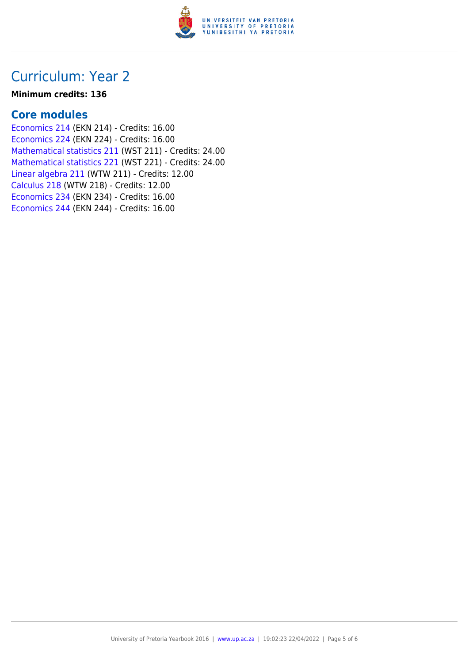

### Curriculum: Year 2

#### **Minimum credits: 136**

### **Core modules**

[Economics 214](https://www.up.ac.za/yearbooks/2016/modules/view/EKN 214) (EKN 214) - Credits: 16.00 [Economics 224](https://www.up.ac.za/yearbooks/2016/modules/view/EKN 224) (EKN 224) - Credits: 16.00 [Mathematical statistics 211](https://www.up.ac.za/yearbooks/2016/modules/view/WST 211) (WST 211) - Credits: 24.00 [Mathematical statistics 221](https://www.up.ac.za/yearbooks/2016/modules/view/WST 221) (WST 221) - Credits: 24.00 [Linear algebra 211](https://www.up.ac.za/yearbooks/2016/modules/view/WTW 211) (WTW 211) - Credits: 12.00 [Calculus 218](https://www.up.ac.za/yearbooks/2016/modules/view/WTW 218) (WTW 218) - Credits: 12.00 [Economics 234](https://www.up.ac.za/yearbooks/2016/modules/view/EKN 234) (EKN 234) - Credits: 16.00 [Economics 244](https://www.up.ac.za/yearbooks/2016/modules/view/EKN 244) (EKN 244) - Credits: 16.00